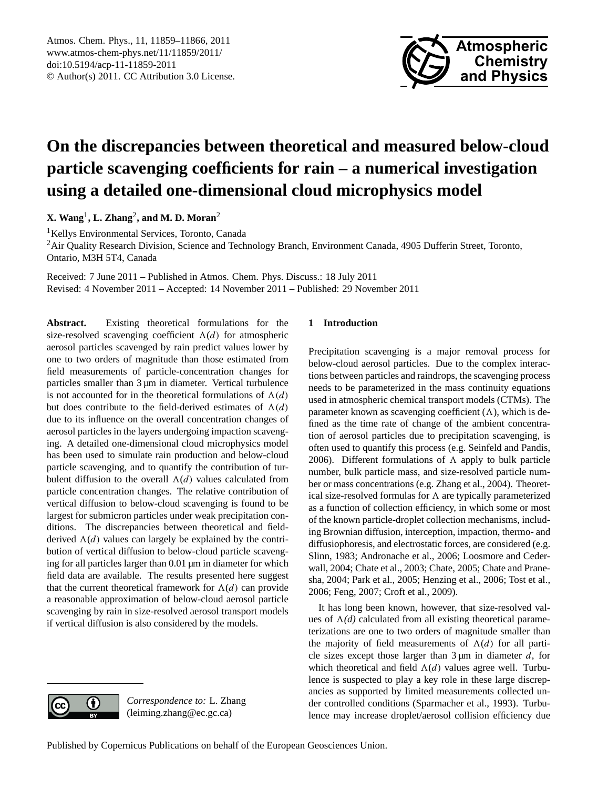

# <span id="page-0-0"></span>**On the discrepancies between theoretical and measured below-cloud particle scavenging coefficients for rain – a numerical investigation using a detailed one-dimensional cloud microphysics model**

**X. Wang**<sup>1</sup> **, L. Zhang**<sup>2</sup> **, and M. D. Moran**<sup>2</sup>

<sup>1</sup>Kellys Environmental Services, Toronto, Canada

<sup>2</sup>Air Quality Research Division, Science and Technology Branch, Environment Canada, 4905 Dufferin Street, Toronto, Ontario, M3H 5T4, Canada

Received: 7 June 2011 – Published in Atmos. Chem. Phys. Discuss.: 18 July 2011 Revised: 4 November 2011 – Accepted: 14 November 2011 – Published: 29 November 2011

**Abstract.** Existing theoretical formulations for the size-resolved scavenging coefficient  $\Lambda(d)$  for atmospheric aerosol particles scavenged by rain predict values lower by one to two orders of magnitude than those estimated from field measurements of particle-concentration changes for particles smaller than 3 µm in diameter. Vertical turbulence is not accounted for in the theoretical formulations of  $\Lambda(d)$ but does contribute to the field-derived estimates of  $\Lambda(d)$ due to its influence on the overall concentration changes of aerosol particles in the layers undergoing impaction scavenging. A detailed one-dimensional cloud microphysics model has been used to simulate rain production and below-cloud particle scavenging, and to quantify the contribution of turbulent diffusion to the overall  $\Lambda(d)$  values calculated from particle concentration changes. The relative contribution of vertical diffusion to below-cloud scavenging is found to be largest for submicron particles under weak precipitation conditions. The discrepancies between theoretical and fieldderived  $\Lambda(d)$  values can largely be explained by the contribution of vertical diffusion to below-cloud particle scavenging for all particles larger than 0.01 µm in diameter for which field data are available. The results presented here suggest that the current theoretical framework for  $\Lambda(d)$  can provide a reasonable approximation of below-cloud aerosol particle scavenging by rain in size-resolved aerosol transport models if vertical diffusion is also considered by the models.

# **1 Introduction**

Precipitation scavenging is a major removal process for below-cloud aerosol particles. Due to the complex interactions between particles and raindrops, the scavenging process needs to be parameterized in the mass continuity equations used in atmospheric chemical transport models (CTMs). The parameter known as scavenging coefficient  $(\Lambda)$ , which is defined as the time rate of change of the ambient concentration of aerosol particles due to precipitation scavenging, is often used to quantify this process (e.g. Seinfeld and Pandis, 2006). Different formulations of  $\Lambda$  apply to bulk particle number, bulk particle mass, and size-resolved particle number or mass concentrations (e.g. Zhang et al., 2004). Theoretical size-resolved formulas for  $\Lambda$  are typically parameterized as a function of collection efficiency, in which some or most of the known particle-droplet collection mechanisms, including Brownian diffusion, interception, impaction, thermo- and diffusiophoresis, and electrostatic forces, are considered (e.g. Slinn, 1983; Andronache et al., 2006; Loosmore and Cederwall, 2004; Chate et al., 2003; Chate, 2005; Chate and Pranesha, 2004; Park et al., 2005; Henzing et al., 2006; Tost et al., 2006; Feng, 2007; Croft et al., 2009).

It has long been known, however, that size-resolved values of  $\Lambda$ *(d)* calculated from all existing theoretical parameterizations are one to two orders of magnitude smaller than the majority of field measurements of  $\Lambda(d)$  for all particle sizes except those larger than  $3 \mu m$  in diameter d, for which theoretical and field  $\Lambda(d)$  values agree well. Turbulence is suspected to play a key role in these large discrepancies as supported by limited measurements collected under controlled conditions (Sparmacher et al., 1993). Turbulence may increase droplet/aerosol collision efficiency due



0

*Correspondence to:* L. Zhang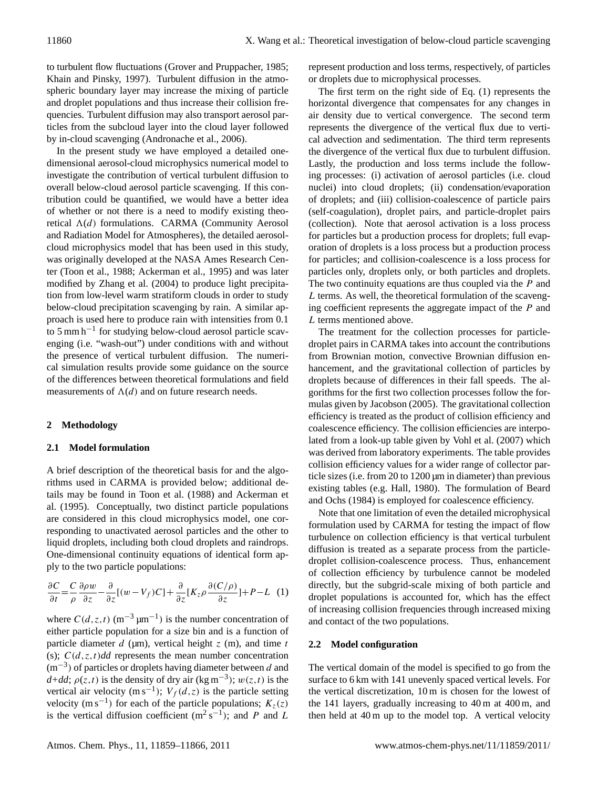to turbulent flow fluctuations (Grover and Pruppacher, 1985; Khain and Pinsky, 1997). Turbulent diffusion in the atmospheric boundary layer may increase the mixing of particle and droplet populations and thus increase their collision frequencies. Turbulent diffusion may also transport aerosol particles from the subcloud layer into the cloud layer followed by in-cloud scavenging (Andronache et al., 2006).

In the present study we have employed a detailed onedimensional aerosol-cloud microphysics numerical model to investigate the contribution of vertical turbulent diffusion to overall below-cloud aerosol particle scavenging. If this contribution could be quantified, we would have a better idea of whether or not there is a need to modify existing theoretical  $\Lambda(d)$  formulations. CARMA (Community Aerosol and Radiation Model for Atmospheres), the detailed aerosolcloud microphysics model that has been used in this study, was originally developed at the NASA Ames Research Center (Toon et al., 1988; Ackerman et al., 1995) and was later modified by Zhang et al. (2004) to produce light precipitation from low-level warm stratiform clouds in order to study below-cloud precipitation scavenging by rain. A similar approach is used here to produce rain with intensities from 0.1 to 5 mm h−<sup>1</sup> for studying below-cloud aerosol particle scavenging (i.e. "wash-out") under conditions with and without the presence of vertical turbulent diffusion. The numerical simulation results provide some guidance on the source of the differences between theoretical formulations and field measurements of  $\Lambda(d)$  and on future research needs.

# **2 Methodology**

# **2.1 Model formulation**

A brief description of the theoretical basis for and the algorithms used in CARMA is provided below; additional details may be found in Toon et al. (1988) and Ackerman et al. (1995). Conceptually, two distinct particle populations are considered in this cloud microphysics model, one corresponding to unactivated aerosol particles and the other to liquid droplets, including both cloud droplets and raindrops. One-dimensional continuity equations of identical form apply to the two particle populations:

$$
\frac{\partial C}{\partial t} = \frac{C}{\rho} \frac{\partial \rho w}{\partial z} - \frac{\partial}{\partial z} [(w - V_f)C] + \frac{\partial}{\partial z} [K_z \rho \frac{\partial (C/\rho)}{\partial z}] + P - L \quad (1)
$$

where  $C(d, z, t)$  (m<sup>-3</sup> µm<sup>-1</sup>) is the number concentration of either particle population for a size bin and is a function of particle diameter  $d$  ( $\mu$ m), vertical height  $z$  (m), and time  $t$ (s);  $C(d, z, t)$ *dd* represents the mean number concentration  $(m^{-3})$  of particles or droplets having diameter between d and  $d+dd$ ;  $\rho(z,t)$  is the density of dry air (kg m<sup>-3</sup>);  $w(z,t)$  is the vertical air velocity (m s<sup>-1</sup>);  $V_f(d,z)$  is the particle setting velocity (m s<sup>-1</sup>) for each of the particle populations;  $K_z(z)$ is the vertical diffusion coefficient  $(m^2 s^{-1})$ ; and P and L

represent production and loss terms, respectively, of particles or droplets due to microphysical processes.

The first term on the right side of Eq. (1) represents the horizontal divergence that compensates for any changes in air density due to vertical convergence. The second term represents the divergence of the vertical flux due to vertical advection and sedimentation. The third term represents the divergence of the vertical flux due to turbulent diffusion. Lastly, the production and loss terms include the following processes: (i) activation of aerosol particles (i.e. cloud nuclei) into cloud droplets; (ii) condensation/evaporation of droplets; and (iii) collision-coalescence of particle pairs (self-coagulation), droplet pairs, and particle-droplet pairs (collection). Note that aerosol activation is a loss process for particles but a production process for droplets; full evaporation of droplets is a loss process but a production process for particles; and collision-coalescence is a loss process for particles only, droplets only, or both particles and droplets. The two continuity equations are thus coupled via the  $P$  and L terms. As well, the theoretical formulation of the scavenging coefficient represents the aggregate impact of the P and L terms mentioned above.

The treatment for the collection processes for particledroplet pairs in CARMA takes into account the contributions from Brownian motion, convective Brownian diffusion enhancement, and the gravitational collection of particles by droplets because of differences in their fall speeds. The algorithms for the first two collection processes follow the formulas given by Jacobson (2005). The gravitational collection efficiency is treated as the product of collision efficiency and coalescence efficiency. The collision efficiencies are interpolated from a look-up table given by Vohl et al. (2007) which was derived from laboratory experiments. The table provides collision efficiency values for a wider range of collector particle sizes (i.e. from 20 to 1200 µm in diameter) than previous existing tables (e.g. Hall, 1980). The formulation of Beard and Ochs (1984) is employed for coalescence efficiency.

Note that one limitation of even the detailed microphysical formulation used by CARMA for testing the impact of flow turbulence on collection efficiency is that vertical turbulent diffusion is treated as a separate process from the particledroplet collision-coalescence process. Thus, enhancement of collection efficiency by turbulence cannot be modeled directly, but the subgrid-scale mixing of both particle and droplet populations is accounted for, which has the effect of increasing collision frequencies through increased mixing and contact of the two populations.

# **2.2 Model configuration**

The vertical domain of the model is specified to go from the surface to 6 km with 141 unevenly spaced vertical levels. For the vertical discretization, 10 m is chosen for the lowest of the 141 layers, gradually increasing to 40 m at 400 m, and then held at 40 m up to the model top. A vertical velocity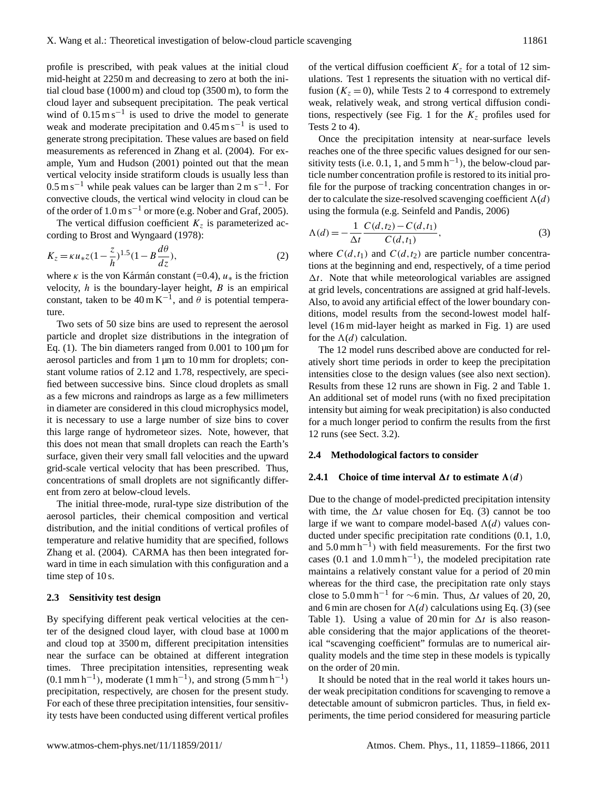profile is prescribed, with peak values at the initial cloud mid-height at 2250 m and decreasing to zero at both the initial cloud base (1000 m) and cloud top (3500 m), to form the cloud layer and subsequent precipitation. The peak vertical wind of  $0.15 \text{ m s}^{-1}$  is used to drive the model to generate weak and moderate precipitation and  $0.45 \text{ m s}^{-1}$  is used to generate strong precipitation. These values are based on field measurements as referenced in Zhang et al. (2004). For example, Yum and Hudson (2001) pointed out that the mean vertical velocity inside stratiform clouds is usually less than  $0.5 \text{ m s}^{-1}$  while peak values can be larger than  $2 \text{ m s}^{-1}$ . For convective clouds, the vertical wind velocity in cloud can be of the order of  $1.0 \text{ m s}^{-1}$  or more (e.g. Nober and Graf, 2005).

The vertical diffusion coefficient  $K<sub>z</sub>$  is parameterized according to Brost and Wyngaard (1978):

$$
K_z = \kappa u_* z (1 - \frac{z}{h})^{1.5} (1 - B \frac{d\theta}{dz}),
$$
 (2)

where  $\kappa$  is the von Kármán constant (=0.4),  $u_*$  is the friction velocity,  $h$  is the boundary-layer height,  $B$  is an empirical constant, taken to be  $40 \text{ m K}^{-1}$ , and  $\theta$  is potential temperature.

Two sets of 50 size bins are used to represent the aerosol particle and droplet size distributions in the integration of Eq. (1). The bin diameters ranged from  $0.001$  to  $100 \mu m$  for aerosol particles and from 1 µm to 10 mm for droplets; constant volume ratios of 2.12 and 1.78, respectively, are specified between successive bins. Since cloud droplets as small as a few microns and raindrops as large as a few millimeters in diameter are considered in this cloud microphysics model, it is necessary to use a large number of size bins to cover this large range of hydrometeor sizes. Note, however, that this does not mean that small droplets can reach the Earth's surface, given their very small fall velocities and the upward grid-scale vertical velocity that has been prescribed. Thus, concentrations of small droplets are not significantly different from zero at below-cloud levels.

The initial three-mode, rural-type size distribution of the aerosol particles, their chemical composition and vertical distribution, and the initial conditions of vertical profiles of temperature and relative humidity that are specified, follows Zhang et al. (2004). CARMA has then been integrated forward in time in each simulation with this configuration and a time step of 10 s.

## **2.3 Sensitivity test design**

By specifying different peak vertical velocities at the center of the designed cloud layer, with cloud base at 1000 m and cloud top at 3500 m, different precipitation intensities near the surface can be obtained at different integration times. Three precipitation intensities, representing weak  $(0.1 \text{ mm h}^{-1})$ , moderate  $(1 \text{ mm h}^{-1})$ , and strong  $(5 \text{ mm h}^{-1})$ precipitation, respectively, are chosen for the present study. For each of these three precipitation intensities, four sensitivity tests have been conducted using different vertical profiles

of the vertical diffusion coefficient  $K_z$  for a total of 12 simulations. Test 1 represents the situation with no vertical diffusion  $(K_z = 0)$ , while Tests 2 to 4 correspond to extremely weak, relatively weak, and strong vertical diffusion conditions, respectively (see Fig. 1 for the  $K<sub>z</sub>$  profiles used for Tests 2 to 4).

Once the precipitation intensity at near-surface levels reaches one of the three specific values designed for our sensitivity tests (i.e. 0.1, 1, and 5 mm  $h^{-1}$ ), the below-cloud particle number concentration profile is restored to its initial profile for the purpose of tracking concentration changes in order to calculate the size-resolved scavenging coefficient  $\Lambda(d)$ using the formula (e.g. Seinfeld and Pandis, 2006)

$$
\Lambda(d) = -\frac{1}{\Delta t} \frac{C(d, t_2) - C(d, t_1)}{C(d, t_1)},
$$
\n(3)

where  $C(d,t_1)$  and  $C(d,t_2)$  are particle number concentrations at the beginning and end, respectively, of a time period  $\Delta t$ . Note that while meteorological variables are assigned at grid levels, concentrations are assigned at grid half-levels. Also, to avoid any artificial effect of the lower boundary conditions, model results from the second-lowest model halflevel (16 m mid-layer height as marked in Fig. 1) are used for the  $\Lambda(d)$  calculation.

The 12 model runs described above are conducted for relatively short time periods in order to keep the precipitation intensities close to the design values (see also next section). Results from these 12 runs are shown in Fig. 2 and Table 1. An additional set of model runs (with no fixed precipitation intensity but aiming for weak precipitation) is also conducted for a much longer period to confirm the results from the first 12 runs (see Sect. 3.2).

#### **2.4 Methodological factors to consider**

#### **2.4.1** Choice of time interval  $\Delta t$  to estimate  $\Lambda(d)$

Due to the change of model-predicted precipitation intensity with time, the  $\Delta t$  value chosen for Eq. (3) cannot be too large if we want to compare model-based  $\Lambda(d)$  values conducted under specific precipitation rate conditions (0.1, 1.0, and 5.0 mm h−<sup>1</sup> ) with field measurements. For the first two cases (0.1 and  $1.0 \text{ mm h}^{-1}$ ), the modeled precipitation rate maintains a relatively constant value for a period of 20 min whereas for the third case, the precipitation rate only stays close to 5.0 mm h<sup>-1</sup> for ~6 min. Thus,  $\Delta t$  values of 20, 20, and 6 min are chosen for  $\Lambda(d)$  calculations using Eq. (3) (see Table 1). Using a value of 20 min for  $\Delta t$  is also reasonable considering that the major applications of the theoretical "scavenging coefficient" formulas are to numerical airquality models and the time step in these models is typically on the order of 20 min.

It should be noted that in the real world it takes hours under weak precipitation conditions for scavenging to remove a detectable amount of submicron particles. Thus, in field experiments, the time period considered for measuring particle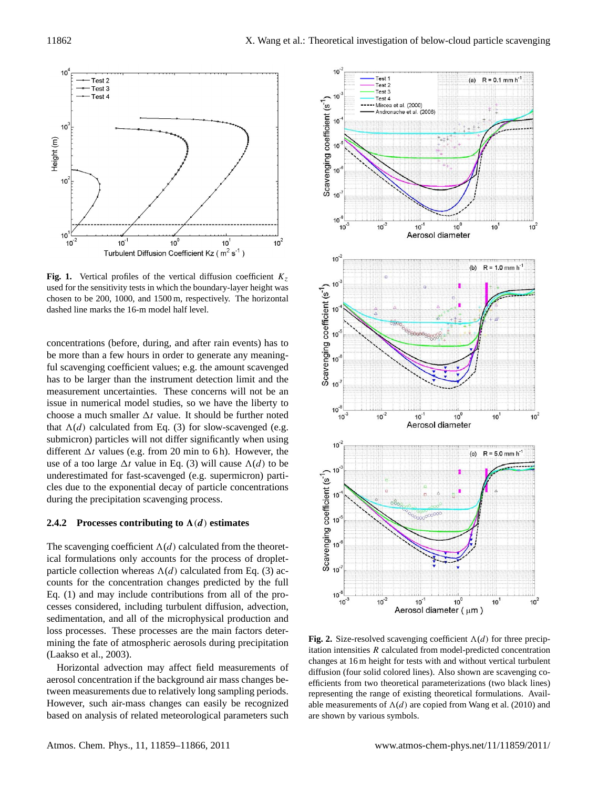

**Fig. 1.** Vertical profiles of the vertical diffusion coefficient  $K_z$ used for the sensitivity tests in which the boundary-layer height was chosen to be 200, 1000, and 1500 m, respectively. The horizontal dashed line marks the 16-m model half level.

concentrations (before, during, and after rain events) has to be more than a few hours in order to generate any meaningful scavenging coefficient values; e.g. the amount scavenged has to be larger than the instrument detection limit and the measurement uncertainties. These concerns will not be an issue in numerical model studies, so we have the liberty to choose a much smaller  $\Delta t$  value. It should be further noted that  $\Lambda(d)$  calculated from Eq. (3) for slow-scavenged (e.g. submicron) particles will not differ significantly when using different  $\Delta t$  values (e.g. from 20 min to 6 h). However, the use of a too large  $\Delta t$  value in Eq. (3) will cause  $\Lambda(d)$  to be underestimated for fast-scavenged (e.g. supermicron) particles due to the exponential decay of particle concentrations during the precipitation scavenging process.

#### **2.4.2** Processes contributing to  $\Lambda(d)$  estimates

The scavenging coefficient  $\Lambda(d)$  calculated from the theoretical formulations only accounts for the process of dropletparticle collection whereas  $\Lambda(d)$  calculated from Eq. (3) accounts for the concentration changes predicted by the full Eq. (1) and may include contributions from all of the processes considered, including turbulent diffusion, advection, sedimentation, and all of the microphysical production and loss processes. These processes are the main factors determining the fate of atmospheric aerosols during precipitation (Laakso et al., 2003).

Horizontal advection may affect field measurements of aerosol concentration if the background air mass changes between measurements due to relatively long sampling periods. However, such air-mass changes can easily be recognized based on analysis of related meteorological parameters such



**Fig. 2.** Size-resolved scavenging coefficient  $\Lambda(d)$  for three precipitation intensities R calculated from model-predicted concentration changes at 16 m height for tests with and without vertical turbulent diffusion (four solid colored lines). Also shown are scavenging coefficients from two theoretical parameterizations (two black lines) representing the range of existing theoretical formulations. Available measurements of  $\Lambda(d)$  are copied from Wang et al. (2010) and are shown by various symbols.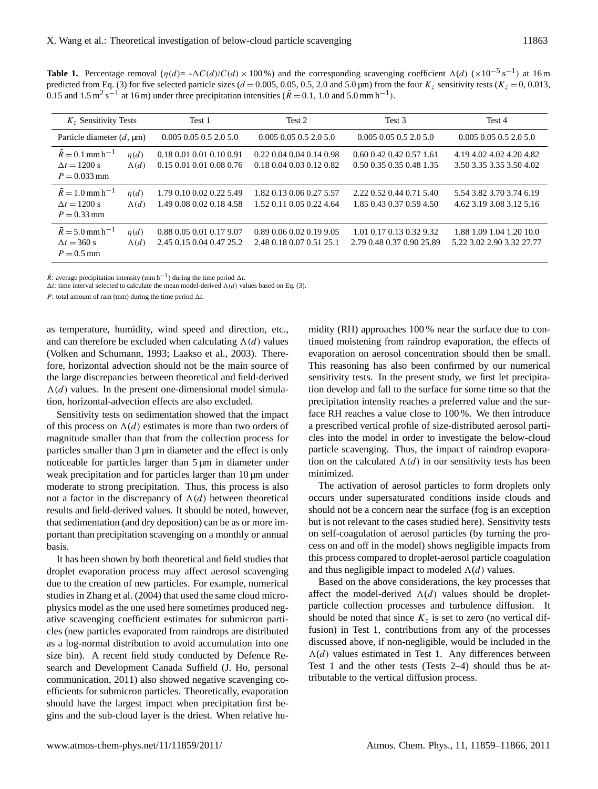**Table 1.** Percentage removal  $(\eta(d) = -\Delta C(d)/C(d) \times 100\%)$  and the corresponding scavenging coefficient  $\Lambda(d)$  (×10<sup>-5</sup> s<sup>-1</sup>) at 16 m predicted from Eq. (3) for five selected particle sizes ( $d = 0.005, 0.05, 0.5, 2.0$  and  $5.0 \,\text{\m{mm}}$ ) from the four  $K_z$  sensitivity tests ( $K_z = 0, 0.013$ , 0.15 and 1.5 m<sup>2</sup> s<sup>-1</sup> at 16 m) under three precipitation intensities ( $\overline{R}$  = 0.1, 1.0 and 5.0 mm h<sup>-1</sup>).

| $Kz$ Sensitivity Tests                                                        |                           | Test 1                                               | Test 2                                               | Test 3                                                       | Test 4                                                |
|-------------------------------------------------------------------------------|---------------------------|------------------------------------------------------|------------------------------------------------------|--------------------------------------------------------------|-------------------------------------------------------|
| Particle diameter $(d, \mu)$                                                  |                           | $0.005$ $0.05$ $0.5$ $2.0$ $5.0$                     | $0.005$ $0.05$ $0.5$ $2.0$ $5.0$                     | $0.005$ $0.05$ $0.5$ $2.0$ $5.0$                             | $0.005$ $0.05$ $0.5$ $2.0$ $5.0$                      |
| $R = 0.1$ mm h <sup>-1</sup><br>$\Delta t = 1200 \text{ s}$<br>$P = 0.033$ mm | $\eta(d)$<br>$\Lambda(d)$ | 0.18 0.01 0.01 0.10 0.91<br>0.15 0.01 0.01 0.08 0.76 | 0.22 0.04 0.04 0.14 0.98<br>0.18 0.04 0.03 0.12 0.82 | $0.60$ $0.42$ $0.42$ $0.57$ 1.61<br>0.50 0.35 0.35 0.48 1.35 | 4.19 4.02 4.02 4.20 4.82<br>3.50 3.35 3.35 3.50 4.02  |
| $R = 1.0$ mm h <sup>-1</sup><br>$\Delta t = 1200 \text{ s}$<br>$P = 0.33$ mm  | n(d)<br>$\Lambda(d)$      | 1.79 0.10 0.02 0.22 5.49<br>1.49 0.08 0.02 0.18 4.58 | 1.82 0.13 0.06 0.27 5.57<br>1.52 0.11 0.05 0.22 4.64 | 2.22 0.52 0.44 0.71 5.40<br>1.85 0.43 0.37 0.59 4.50         | 5.54 3.82 3.70 3.74 6.19<br>4.62 3.19 3.08 3.12 5.16  |
| $R = 5.0$ mm h <sup>-1</sup><br>$\Delta t = 360$ s<br>$P = 0.5$ mm            | $\eta(d)$<br>$\Lambda(d)$ | 0.88 0.05 0.01 0.17 9.07<br>2.45 0.15 0.04 0.47 25.2 | 0.89 0.06 0.02 0.19 9.05<br>2.48 0.18 0.07 0.51 25.1 | 1.01 0.17 0.13 0.32 9.32<br>2.79 0.48 0.37 0.90 25.89        | 1.88 1.09 1.04 1.20 10.0<br>5.22 3.02 2.90 3.32 27.77 |

 $\overline{R}$ : average precipitation intensity (mm h<sup>-1</sup>) during the time period  $\Delta t$ .

 $\Delta t$ : time interval selected to calculate the mean model-derived  $\Lambda(d)$  values based on Eq. (3).

P: total amount of rain (mm) during the time period  $\Delta t$ 

as temperature, humidity, wind speed and direction, etc., and can therefore be excluded when calculating  $\Lambda(d)$  values (Volken and Schumann, 1993; Laakso et al., 2003). Therefore, horizontal advection should not be the main source of the large discrepancies between theoretical and field-derived  $\Lambda(d)$  values. In the present one-dimensional model simulation, horizontal-advection effects are also excluded.

Sensitivity tests on sedimentation showed that the impact of this process on  $\Lambda(d)$  estimates is more than two orders of magnitude smaller than that from the collection process for particles smaller than 3 µm in diameter and the effect is only noticeable for particles larger than  $5 \mu m$  in diameter under weak precipitation and for particles larger than 10  $\mu$ m under moderate to strong precipitation. Thus, this process is also not a factor in the discrepancy of  $\Lambda(d)$  between theoretical results and field-derived values. It should be noted, however, that sedimentation (and dry deposition) can be as or more important than precipitation scavenging on a monthly or annual basis.

It has been shown by both theoretical and field studies that droplet evaporation process may affect aerosol scavenging due to the creation of new particles. For example, numerical studies in Zhang et al. (2004) that used the same cloud microphysics model as the one used here sometimes produced negative scavenging coefficient estimates for submicron particles (new particles evaporated from raindrops are distributed as a log-normal distribution to avoid accumulation into one size bin). A recent field study conducted by Defence Research and Development Canada Suffield (J. Ho, personal communication, 2011) also showed negative scavenging coefficients for submicron particles. Theoretically, evaporation should have the largest impact when precipitation first begins and the sub-cloud layer is the driest. When relative humidity (RH) approaches 100 % near the surface due to continued moistening from raindrop evaporation, the effects of evaporation on aerosol concentration should then be small. This reasoning has also been confirmed by our numerical sensitivity tests. In the present study, we first let precipitation develop and fall to the surface for some time so that the precipitation intensity reaches a preferred value and the surface RH reaches a value close to 100 %. We then introduce a prescribed vertical profile of size-distributed aerosol particles into the model in order to investigate the below-cloud particle scavenging. Thus, the impact of raindrop evaporation on the calculated  $\Lambda(d)$  in our sensitivity tests has been minimized.

The activation of aerosol particles to form droplets only occurs under supersaturated conditions inside clouds and should not be a concern near the surface (fog is an exception but is not relevant to the cases studied here). Sensitivity tests on self-coagulation of aerosol particles (by turning the process on and off in the model) shows negligible impacts from this process compared to droplet-aerosol particle coagulation and thus negligible impact to modeled  $\Lambda(d)$  values.

Based on the above considerations, the key processes that affect the model-derived  $\Lambda(d)$  values should be dropletparticle collection processes and turbulence diffusion. It should be noted that since  $K_z$  is set to zero (no vertical diffusion) in Test 1, contributions from any of the processes discussed above, if non-negligible, would be included in the  $\Lambda(d)$  values estimated in Test 1. Any differences between Test 1 and the other tests (Tests 2–4) should thus be attributable to the vertical diffusion process.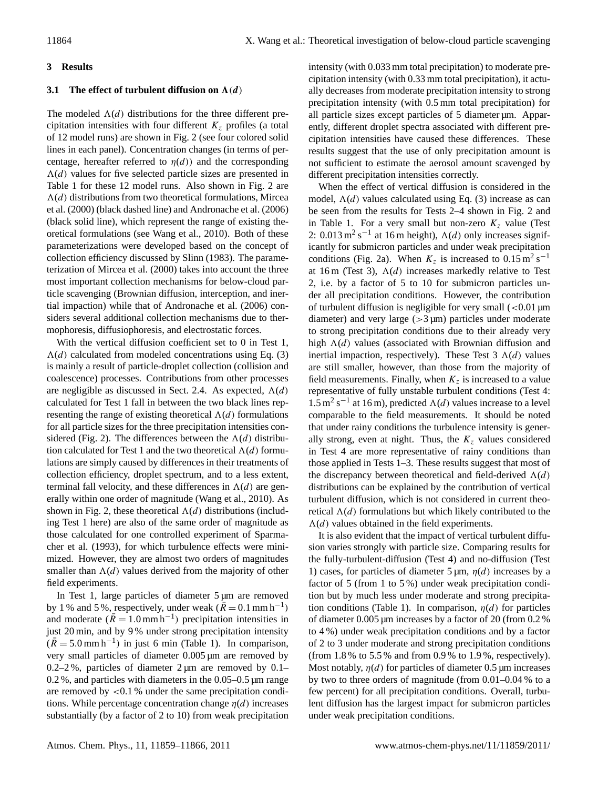# **3 Results**

# **3.1** The effect of turbulent diffusion on  $\Lambda(d)$

The modeled  $\Lambda(d)$  distributions for the three different precipitation intensities with four different  $K<sub>z</sub>$  profiles (a total of 12 model runs) are shown in Fig. 2 (see four colored solid lines in each panel). Concentration changes (in terms of percentage, hereafter referred to  $\eta(d)$  and the corresponding  $\Lambda(d)$  values for five selected particle sizes are presented in Table 1 for these 12 model runs. Also shown in Fig. 2 are  $\Lambda(d)$  distributions from two theoretical formulations, Mircea et al. (2000) (black dashed line) and Andronache et al. (2006) (black solid line), which represent the range of existing theoretical formulations (see Wang et al., 2010). Both of these parameterizations were developed based on the concept of collection efficiency discussed by Slinn (1983). The parameterization of Mircea et al. (2000) takes into account the three most important collection mechanisms for below-cloud particle scavenging (Brownian diffusion, interception, and inertial impaction) while that of Andronache et al. (2006) considers several additional collection mechanisms due to thermophoresis, diffusiophoresis, and electrostatic forces.

With the vertical diffusion coefficient set to 0 in Test 1,  $\Lambda(d)$  calculated from modeled concentrations using Eq. (3) is mainly a result of particle-droplet collection (collision and coalescence) processes. Contributions from other processes are negligible as discussed in Sect. 2.4. As expected,  $\Lambda(d)$ calculated for Test 1 fall in between the two black lines representing the range of existing theoretical  $\Lambda(d)$  formulations for all particle sizes for the three precipitation intensities considered (Fig. 2). The differences between the  $\Lambda(d)$  distribution calculated for Test 1 and the two theoretical  $\Lambda(d)$  formulations are simply caused by differences in their treatments of collection efficiency, droplet spectrum, and to a less extent, terminal fall velocity, and these differences in  $\Lambda(d)$  are generally within one order of magnitude (Wang et al., 2010). As shown in Fig. 2, these theoretical  $\Lambda(d)$  distributions (including Test 1 here) are also of the same order of magnitude as those calculated for one controlled experiment of Sparmacher et al. (1993), for which turbulence effects were minimized. However, they are almost two orders of magnitudes smaller than  $\Lambda(d)$  values derived from the majority of other field experiments.

In Test 1, large particles of diameter 5 µm are removed by 1 % and 5 %, respectively, under weak  $(\bar{R} = 0.1 \text{ mm h}^{-1})$ and moderate  $(\bar{R} = 1.0 \text{ mm h}^{-1})$  precipitation intensities in just 20 min, and by 9% under strong precipitation intensity  $(\bar{R} = 5.0 \text{ mm h}^{-1})$  in just 6 min (Table 1). In comparison, very small particles of diameter 0.005 µm are removed by  $0.2-2\%$ , particles of diameter 2 µm are removed by 0.1– 0.2 %, and particles with diameters in the 0.05–0.5 µm range are removed by  $\langle 0.1 \rangle$  under the same precipitation conditions. While percentage concentration change  $\eta(d)$  increases substantially (by a factor of 2 to 10) from weak precipitation intensity (with 0.033 mm total precipitation) to moderate precipitation intensity (with 0.33 mm total precipitation), it actually decreases from moderate precipitation intensity to strong precipitation intensity (with 0.5 mm total precipitation) for all particle sizes except particles of 5 diameter  $\mu$ m. Apparently, different droplet spectra associated with different precipitation intensities have caused these differences. These results suggest that the use of only precipitation amount is not sufficient to estimate the aerosol amount scavenged by different precipitation intensities correctly.

When the effect of vertical diffusion is considered in the model,  $\Lambda(d)$  values calculated using Eq. (3) increase as can be seen from the results for Tests 2–4 shown in Fig. 2 and in Table 1. For a very small but non-zero  $K<sub>z</sub>$  value (Test 2:  $0.013 \text{ m}^2 \text{ s}^{-1}$  at 16 m height),  $\Lambda(d)$  only increases significantly for submicron particles and under weak precipitation conditions (Fig. 2a). When  $K_z$  is increased to  $0.15 \text{ m}^2 \text{ s}^{-1}$ at 16 m (Test 3),  $\Lambda(d)$  increases markedly relative to Test 2, i.e. by a factor of 5 to 10 for submicron particles under all precipitation conditions. However, the contribution of turbulent diffusion is negligible for very small  $\left($  < 0.01 µm diameter) and very large  $(>3 \mu m)$  particles under moderate to strong precipitation conditions due to their already very high  $\Lambda(d)$  values (associated with Brownian diffusion and inertial impaction, respectively). These Test 3  $\Lambda(d)$  values are still smaller, however, than those from the majority of field measurements. Finally, when  $K_z$  is increased to a value representative of fully unstable turbulent conditions (Test 4:  $1.5 \text{ m}^2 \text{ s}^{-1}$  at 16 m), predicted  $\Lambda(d)$  values increase to a level comparable to the field measurements. It should be noted that under rainy conditions the turbulence intensity is generally strong, even at night. Thus, the  $K<sub>z</sub>$  values considered in Test 4 are more representative of rainy conditions than those applied in Tests 1–3. These results suggest that most of the discrepancy between theoretical and field-derived  $\Lambda(d)$ distributions can be explained by the contribution of vertical turbulent diffusion, which is not considered in current theoretical  $\Lambda(d)$  formulations but which likely contributed to the  $\Lambda(d)$  values obtained in the field experiments.

It is also evident that the impact of vertical turbulent diffusion varies strongly with particle size. Comparing results for the fully-turbulent-diffusion (Test 4) and no-diffusion (Test 1) cases, for particles of diameter 5  $\mu$ m,  $\eta$ (d) increases by a factor of 5 (from 1 to 5 %) under weak precipitation condition but by much less under moderate and strong precipitation conditions (Table 1). In comparison,  $\eta(d)$  for particles of diameter 0.005 µm increases by a factor of 20 (from 0.2 % to 4 %) under weak precipitation conditions and by a factor of 2 to 3 under moderate and strong precipitation conditions (from 1.8 % to 5.5 % and from 0.9 % to 1.9 %, respectively). Most notably,  $\eta(d)$  for particles of diameter 0.5  $\mu$ m increases by two to three orders of magnitude (from 0.01–0.04 % to a few percent) for all precipitation conditions. Overall, turbulent diffusion has the largest impact for submicron particles under weak precipitation conditions.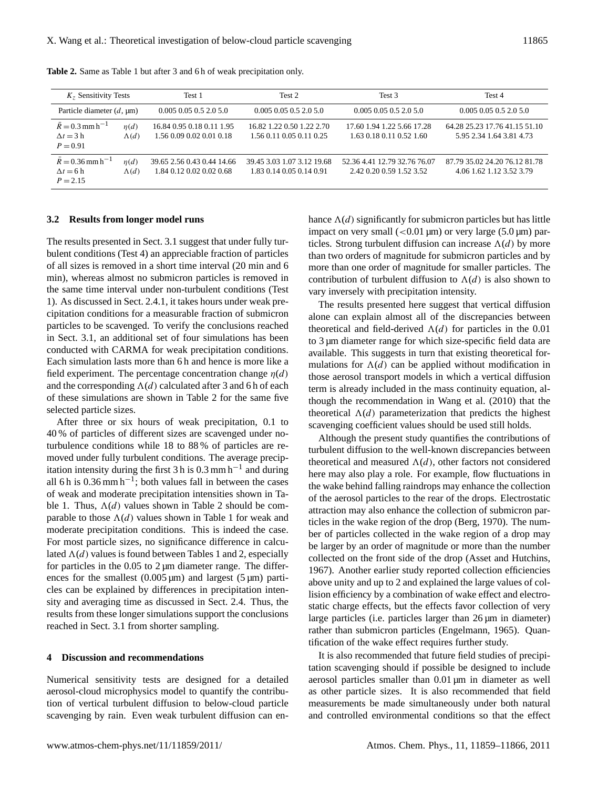| $Kz$ Sensitivity Tests                                          |                           | Test 1                                                 | Test 2                                                 | Test <sub>3</sub>                                        | Test 4                                                    |
|-----------------------------------------------------------------|---------------------------|--------------------------------------------------------|--------------------------------------------------------|----------------------------------------------------------|-----------------------------------------------------------|
| Particle diameter $(d, \mu)$                                    |                           | $0.005$ 0.05 0.5 2.0 5.0                               | $0.005$ 0.05 0.5 2.0 5.0                               | $0.005$ 0.05 0.5 2.0 5.0                                 | $0.005$ 0.05 0.5 2.0 5.0                                  |
| $R = 0.3$ mm h <sup>-1</sup><br>$\Delta t = 3$ h<br>$P = 0.91$  | $\eta(d)$<br>$\Lambda(d)$ | 16.84 0.95 0.18 0.11 1.95<br>1.56 0.09 0.02 0.01 0.18  | 16.82 1.22 0.50 1.22 2.70<br>1.56 0.11 0.05 0.11 0.25  | 17.60 1.94 1.22 5.66 17.28<br>1.63 0.18 0.11 0.52 1.60   | 64.28 25.23 17.76 41.15 51.10<br>5.95 2.34 1.64 3.81 4.73 |
| $R = 0.36$ mm h <sup>-1</sup><br>$\Delta t = 6$ h<br>$P = 2.15$ | n(d)<br>$\Lambda(d)$      | 39.65 2.56 0.43 0.44 14.66<br>1.84 0.12 0.02 0.02 0.68 | 39.45 3.03 1.07 3.12 19.68<br>1.83 0.14 0.05 0.14 0.91 | 52.36 4.41 12.79 32.76 76.07<br>2.42 0.20 0.59 1.52 3.52 | 87.79 35.02 24.20 76.12 81.78<br>4.06.1.62.1.12.3.52.3.79 |

**Table 2.** Same as Table 1 but after 3 and 6 h of weak precipitation only.

#### **3.2 Results from longer model runs**

The results presented in Sect. 3.1 suggest that under fully turbulent conditions (Test 4) an appreciable fraction of particles of all sizes is removed in a short time interval (20 min and 6 min), whereas almost no submicron particles is removed in the same time interval under non-turbulent conditions (Test 1). As discussed in Sect. 2.4.1, it takes hours under weak precipitation conditions for a measurable fraction of submicron particles to be scavenged. To verify the conclusions reached in Sect. 3.1, an additional set of four simulations has been conducted with CARMA for weak precipitation conditions. Each simulation lasts more than 6 h and hence is more like a field experiment. The percentage concentration change  $\eta(d)$ and the corresponding  $\Lambda(d)$  calculated after 3 and 6 h of each of these simulations are shown in Table 2 for the same five selected particle sizes.

After three or six hours of weak precipitation, 0.1 to 40 % of particles of different sizes are scavenged under noturbulence conditions while 18 to 88 % of particles are removed under fully turbulent conditions. The average precipitation intensity during the first 3 h is  $0.3$  mm h<sup>-1</sup> and during all 6 h is  $0.36$  mm h<sup>-1</sup>; both values fall in between the cases of weak and moderate precipitation intensities shown in Table 1. Thus,  $\Lambda(d)$  values shown in Table 2 should be comparable to those  $\Lambda(d)$  values shown in Table 1 for weak and moderate precipitation conditions. This is indeed the case. For most particle sizes, no significance difference in calculated  $\Lambda(d)$  values is found between Tables 1 and 2, especially for particles in the  $0.05$  to  $2 \mu m$  diameter range. The differences for the smallest  $(0.005 \,\text{\mu m})$  and largest  $(5 \,\text{\mu m})$  particles can be explained by differences in precipitation intensity and averaging time as discussed in Sect. 2.4. Thus, the results from these longer simulations support the conclusions reached in Sect. 3.1 from shorter sampling.

### **4 Discussion and recommendations**

Numerical sensitivity tests are designed for a detailed aerosol-cloud microphysics model to quantify the contribution of vertical turbulent diffusion to below-cloud particle scavenging by rain. Even weak turbulent diffusion can enhance  $\Lambda(d)$  significantly for submicron particles but has little impact on very small  $(<0.01 \,\mu m$ ) or very large  $(5.0 \,\mu m)$  particles. Strong turbulent diffusion can increase  $\Lambda(d)$  by more than two orders of magnitude for submicron particles and by more than one order of magnitude for smaller particles. The contribution of turbulent diffusion to  $\Lambda(d)$  is also shown to vary inversely with precipitation intensity.

The results presented here suggest that vertical diffusion alone can explain almost all of the discrepancies between theoretical and field-derived  $\Lambda(d)$  for particles in the 0.01 to 3 µm diameter range for which size-specific field data are available. This suggests in turn that existing theoretical formulations for  $\Lambda(d)$  can be applied without modification in those aerosol transport models in which a vertical diffusion term is already included in the mass continuity equation, although the recommendation in Wang et al. (2010) that the theoretical  $\Lambda(d)$  parameterization that predicts the highest scavenging coefficient values should be used still holds.

Although the present study quantifies the contributions of turbulent diffusion to the well-known discrepancies between theoretical and measured  $\Lambda(d)$ , other factors not considered here may also play a role. For example, flow fluctuations in the wake behind falling raindrops may enhance the collection of the aerosol particles to the rear of the drops. Electrostatic attraction may also enhance the collection of submicron particles in the wake region of the drop (Berg, 1970). The number of particles collected in the wake region of a drop may be larger by an order of magnitude or more than the number collected on the front side of the drop (Asset and Hutchins, 1967). Another earlier study reported collection efficiencies above unity and up to 2 and explained the large values of collision efficiency by a combination of wake effect and electrostatic charge effects, but the effects favor collection of very large particles (i.e. particles larger than 26 µm in diameter) rather than submicron particles (Engelmann, 1965). Quantification of the wake effect requires further study.

It is also recommended that future field studies of precipitation scavenging should if possible be designed to include aerosol particles smaller than 0.01 µm in diameter as well as other particle sizes. It is also recommended that field measurements be made simultaneously under both natural and controlled environmental conditions so that the effect